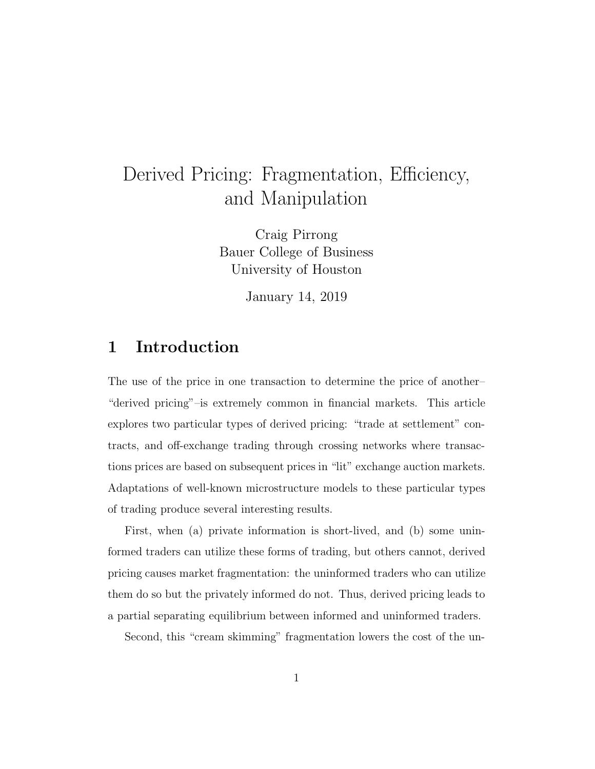# Derived Pricing: Fragmentation, Efficiency, and Manipulation

Craig Pirrong Bauer College of Business University of Houston

January 14, 2019

#### 1 Introduction

The use of the price in one transaction to determine the price of another– "derived pricing"–is extremely common in financial markets. This article explores two particular types of derived pricing: "trade at settlement" contracts, and off-exchange trading through crossing networks where transactions prices are based on subsequent prices in "lit" exchange auction markets. Adaptations of well-known microstructure models to these particular types of trading produce several interesting results.

First, when (a) private information is short-lived, and (b) some uninformed traders can utilize these forms of trading, but others cannot, derived pricing causes market fragmentation: the uninformed traders who can utilize them do so but the privately informed do not. Thus, derived pricing leads to a partial separating equilibrium between informed and uninformed traders.

Second, this "cream skimming" fragmentation lowers the cost of the un-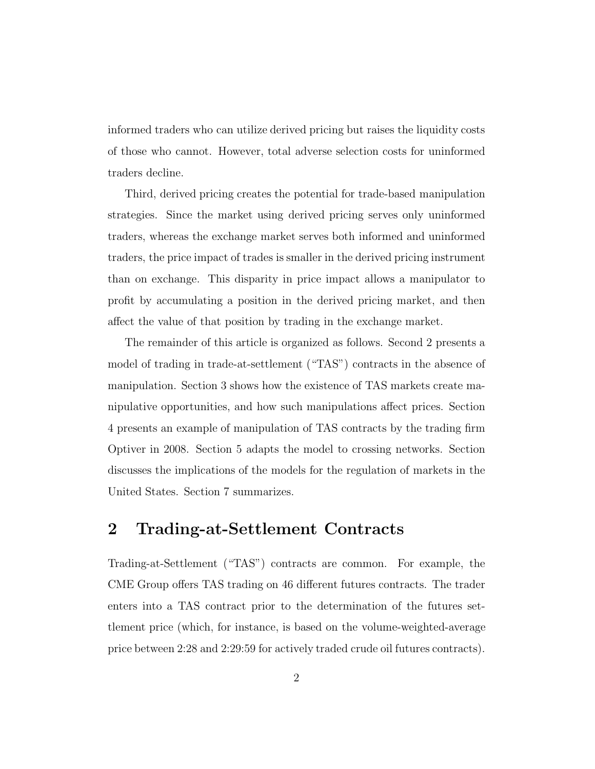informed traders who can utilize derived pricing but raises the liquidity costs of those who cannot. However, total adverse selection costs for uninformed traders decline.

Third, derived pricing creates the potential for trade-based manipulation strategies. Since the market using derived pricing serves only uninformed traders, whereas the exchange market serves both informed and uninformed traders, the price impact of trades is smaller in the derived pricing instrument than on exchange. This disparity in price impact allows a manipulator to profit by accumulating a position in the derived pricing market, and then affect the value of that position by trading in the exchange market.

The remainder of this article is organized as follows. Second 2 presents a model of trading in trade-at-settlement ("TAS") contracts in the absence of manipulation. Section 3 shows how the existence of TAS markets create manipulative opportunities, and how such manipulations affect prices. Section 4 presents an example of manipulation of TAS contracts by the trading firm Optiver in 2008. Section 5 adapts the model to crossing networks. Section discusses the implications of the models for the regulation of markets in the United States. Section 7 summarizes.

### 2 Trading-at-Settlement Contracts

Trading-at-Settlement ("TAS") contracts are common. For example, the CME Group offers TAS trading on 46 different futures contracts. The trader enters into a TAS contract prior to the determination of the futures settlement price (which, for instance, is based on the volume-weighted-average price between 2:28 and 2:29:59 for actively traded crude oil futures contracts).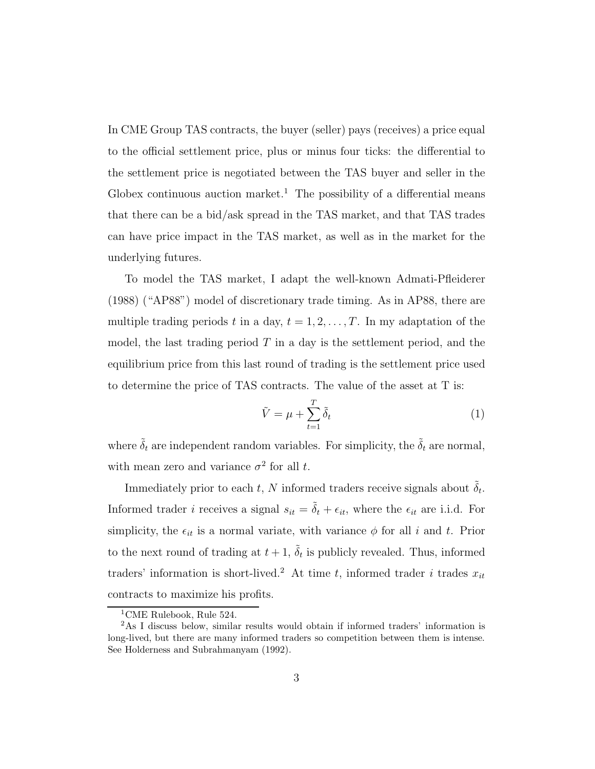In CME Group TAS contracts, the buyer (seller) pays (receives) a price equal to the official settlement price, plus or minus four ticks: the differential to the settlement price is negotiated between the TAS buyer and seller in the Globex continuous auction market.<sup>1</sup> The possibility of a differential means that there can be a bid/ask spread in the TAS market, and that TAS trades can have price impact in the TAS market, as well as in the market for the underlying futures.

To model the TAS market, I adapt the well-known Admati-Pfleiderer (1988) ("AP88") model of discretionary trade timing. As in AP88, there are multiple trading periods t in a day,  $t = 1, 2, \ldots, T$ . In my adaptation of the model, the last trading period  $T$  in a day is the settlement period, and the equilibrium price from this last round of trading is the settlement price used to determine the price of TAS contracts. The value of the asset at T is:

$$
\tilde{V} = \mu + \sum_{t=1}^{T} \tilde{\delta}_t \tag{1}
$$

where  $\tilde{\delta}_t$  are independent random variables. For simplicity, the  $\tilde{\delta}_t$  are normal, with mean zero and variance  $\sigma^2$  for all t.

Immediately prior to each t, N informed traders receive signals about  $\tilde{\delta}_t$ . Informed trader *i* receives a signal  $s_{it} = \tilde{\delta}_t + \epsilon_{it}$ , where the  $\epsilon_{it}$  are i.i.d. For simplicity, the  $\epsilon_{it}$  is a normal variate, with variance  $\phi$  for all i and t. Prior to the next round of trading at  $t + 1$ ,  $\tilde{\delta}_t$  is publicly revealed. Thus, informed traders' information is short-lived.<sup>2</sup> At time t, informed trader i trades  $x_{it}$ contracts to maximize his profits.

<sup>&</sup>lt;sup>1</sup>CME Rulebook, Rule 524.

<sup>2</sup>As I discuss below, similar results would obtain if informed traders' information is long-lived, but there are many informed traders so competition between them is intense. See Holderness and Subrahmanyam (1992).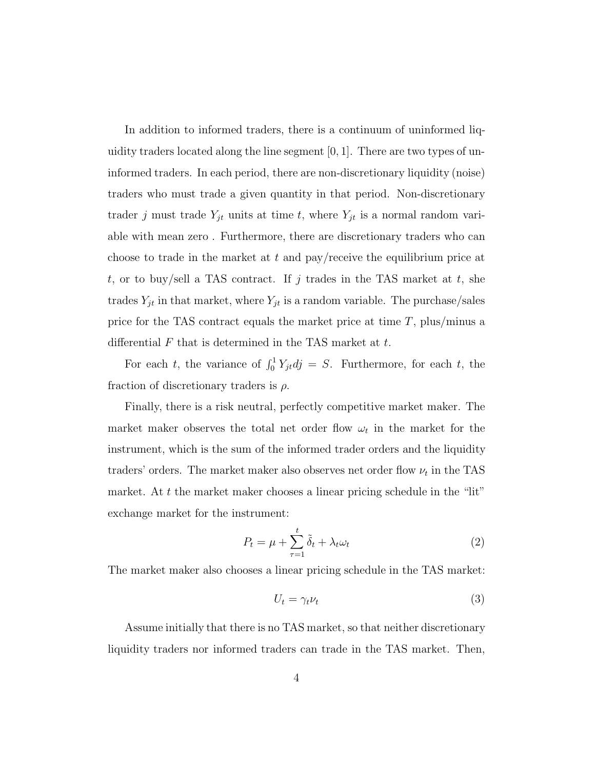In addition to informed traders, there is a continuum of uninformed liquidity traders located along the line segment  $[0, 1]$ . There are two types of uninformed traders. In each period, there are non-discretionary liquidity (noise) traders who must trade a given quantity in that period. Non-discretionary trader j must trade  $Y_{jt}$  units at time t, where  $Y_{jt}$  is a normal random variable with mean zero . Furthermore, there are discretionary traders who can choose to trade in the market at t and pay/receive the equilibrium price at t, or to buy/sell a TAS contract. If j trades in the TAS market at t, she trades  $Y_{jt}$  in that market, where  $Y_{jt}$  is a random variable. The purchase/sales price for the TAS contract equals the market price at time  $T$ , plus/minus a differential  $F$  that is determined in the TAS market at  $t$ .

For each t, the variance of  $\int_0^1 Y_{jt} dj = S$ . Furthermore, for each t, the fraction of discretionary traders is  $\rho$ .

Finally, there is a risk neutral, perfectly competitive market maker. The market maker observes the total net order flow  $\omega_t$  in the market for the instrument, which is the sum of the informed trader orders and the liquidity traders' orders. The market maker also observes net order flow  $\nu_t$  in the TAS market. At  $t$  the market maker chooses a linear pricing schedule in the "lit" exchange market for the instrument:

$$
P_t = \mu + \sum_{\tau=1}^t \tilde{\delta}_t + \lambda_t \omega_t \tag{2}
$$

The market maker also chooses a linear pricing schedule in the TAS market:

$$
U_t = \gamma_t \nu_t \tag{3}
$$

Assume initially that there is no TAS market, so that neither discretionary liquidity traders nor informed traders can trade in the TAS market. Then,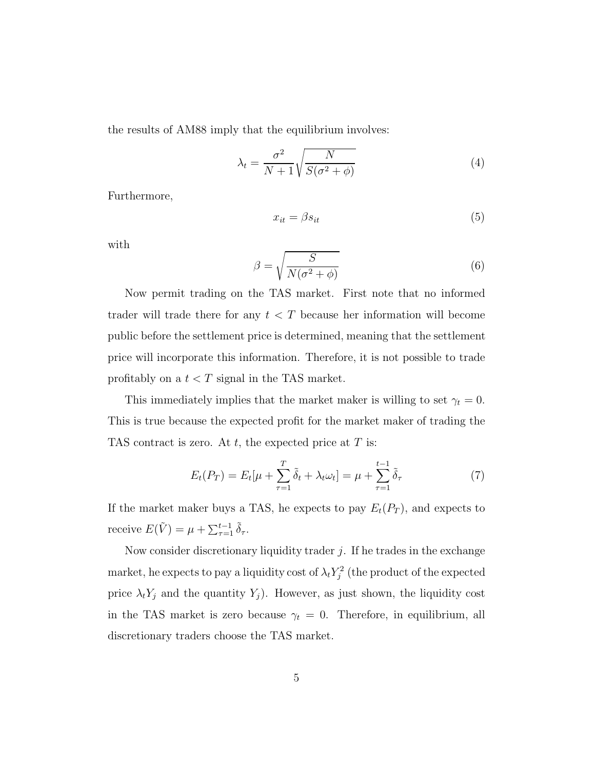the results of AM88 imply that the equilibrium involves:

$$
\lambda_t = \frac{\sigma^2}{N+1} \sqrt{\frac{N}{S(\sigma^2 + \phi)}}
$$
(4)

Furthermore,

$$
x_{it} = \beta s_{it} \tag{5}
$$

with

$$
\beta = \sqrt{\frac{S}{N(\sigma^2 + \phi)}}\tag{6}
$$

Now permit trading on the TAS market. First note that no informed trader will trade there for any  $t < T$  because her information will become public before the settlement price is determined, meaning that the settlement price will incorporate this information. Therefore, it is not possible to trade profitably on a  $t < T$  signal in the TAS market.

This immediately implies that the market maker is willing to set  $\gamma_t = 0$ . This is true because the expected profit for the market maker of trading the TAS contract is zero. At  $t$ , the expected price at  $T$  is:

$$
E_t(P_T) = E_t[\mu + \sum_{\tau=1}^T \tilde{\delta}_t + \lambda_t \omega_t] = \mu + \sum_{\tau=1}^{t-1} \tilde{\delta}_\tau
$$
\n<sup>(7)</sup>

If the market maker buys a TAS, he expects to pay  $E_t(P_T)$ , and expects to receive  $E(\tilde{V}) = \mu + \sum_{\tau=1}^{t-1} \tilde{\delta}_{\tau}$ .

Now consider discretionary liquidity trader  $j$ . If he trades in the exchange market, he expects to pay a liquidity cost of  $\lambda_t Y_j^2$  (the product of the expected price  $\lambda_t Y_j$  and the quantity  $Y_j$ ). However, as just shown, the liquidity cost in the TAS market is zero because  $\gamma_t = 0$ . Therefore, in equilibrium, all discretionary traders choose the TAS market.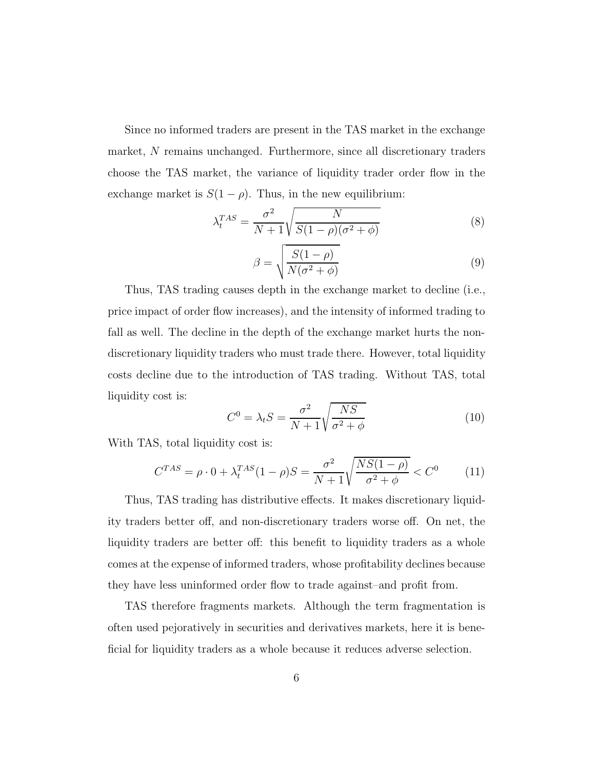Since no informed traders are present in the TAS market in the exchange market, N remains unchanged. Furthermore, since all discretionary traders choose the TAS market, the variance of liquidity trader order flow in the exchange market is  $S(1 - \rho)$ . Thus, in the new equilibrium:

$$
\lambda_t^{TAS} = \frac{\sigma^2}{N+1} \sqrt{\frac{N}{S(1-\rho)(\sigma^2+\phi)}}
$$
(8)

$$
\beta = \sqrt{\frac{S(1-\rho)}{N(\sigma^2 + \phi)}}
$$
\n(9)

Thus, TAS trading causes depth in the exchange market to decline (i.e., price impact of order flow increases), and the intensity of informed trading to fall as well. The decline in the depth of the exchange market hurts the nondiscretionary liquidity traders who must trade there. However, total liquidity costs decline due to the introduction of TAS trading. Without TAS, total liquidity cost is:

$$
C^{0} = \lambda_{t} S = \frac{\sigma^{2}}{N+1} \sqrt{\frac{NS}{\sigma^{2} + \phi}}
$$
\n(10)

With TAS, total liquidity cost is:

$$
C^{TAS} = \rho \cdot 0 + \lambda_t^{TAS} (1 - \rho) S = \frac{\sigma^2}{N+1} \sqrt{\frac{NS(1-\rho)}{\sigma^2 + \phi}} < C^0 \tag{11}
$$

Thus, TAS trading has distributive effects. It makes discretionary liquidity traders better off, and non-discretionary traders worse off. On net, the liquidity traders are better off: this benefit to liquidity traders as a whole comes at the expense of informed traders, whose profitability declines because they have less uninformed order flow to trade against–and profit from.

TAS therefore fragments markets. Although the term fragmentation is often used pejoratively in securities and derivatives markets, here it is beneficial for liquidity traders as a whole because it reduces adverse selection.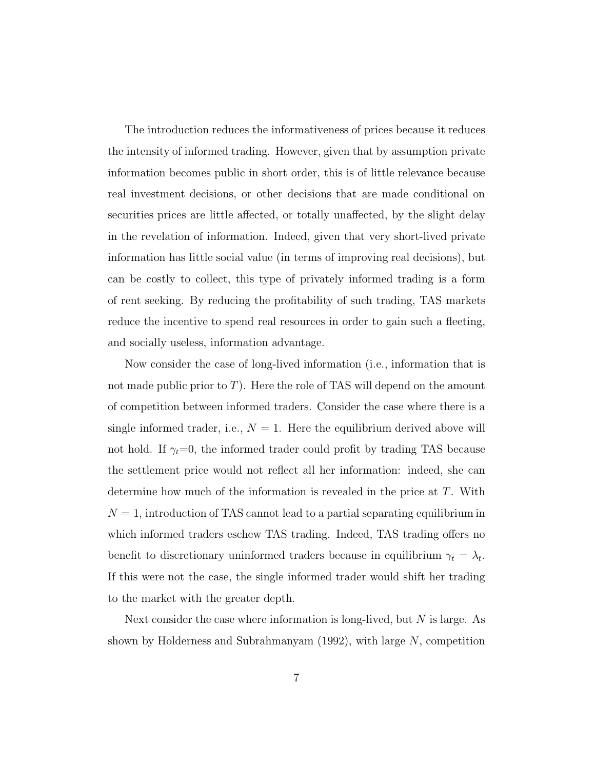The introduction reduces the informativeness of prices because it reduces the intensity of informed trading. However, given that by assumption private information becomes public in short order, this is of little relevance because real investment decisions, or other decisions that are made conditional on securities prices are little affected, or totally unaffected, by the slight delay in the revelation of information. Indeed, given that very short-lived private information has little social value (in terms of improving real decisions), but can be costly to collect, this type of privately informed trading is a form of rent seeking. By reducing the profitability of such trading, TAS markets reduce the incentive to spend real resources in order to gain such a fleeting, and socially useless, information advantage.

Now consider the case of long-lived information (i.e., information that is not made public prior to  $T$ ). Here the role of TAS will depend on the amount of competition between informed traders. Consider the case where there is a single informed trader, i.e.,  $N = 1$ . Here the equilibrium derived above will not hold. If  $\gamma_t=0$ , the informed trader could profit by trading TAS because the settlement price would not reflect all her information: indeed, she can determine how much of the information is revealed in the price at  $T$ . With  $N = 1$ , introduction of TAS cannot lead to a partial separating equilibrium in which informed traders eschew TAS trading. Indeed, TAS trading offers no benefit to discretionary uninformed traders because in equilibrium  $\gamma_t = \lambda_t$ . If this were not the case, the single informed trader would shift her trading to the market with the greater depth.

Next consider the case where information is long-lived, but  $N$  is large. As shown by Holderness and Subrahmanyam  $(1992)$ , with large N, competition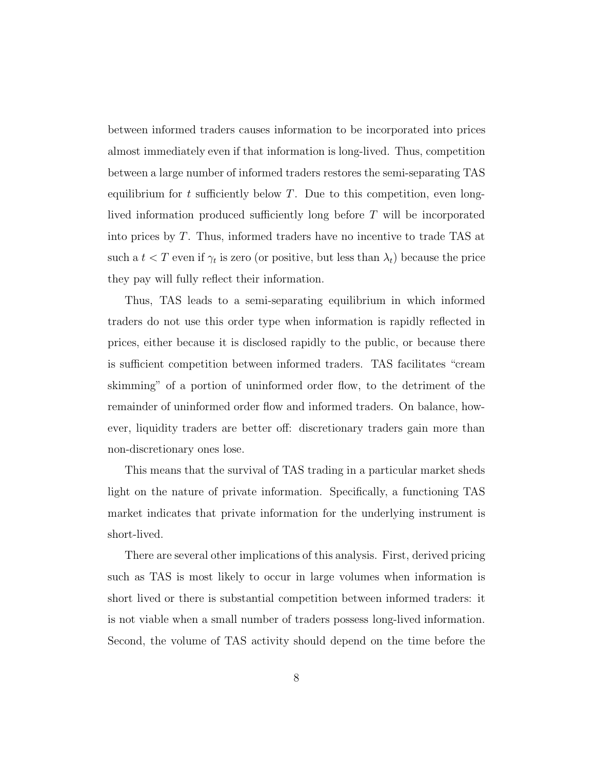between informed traders causes information to be incorporated into prices almost immediately even if that information is long-lived. Thus, competition between a large number of informed traders restores the semi-separating TAS equilibrium for t sufficiently below T. Due to this competition, even longlived information produced sufficiently long before T will be incorporated into prices by  $T$ . Thus, informed traders have no incentive to trade TAS at such a  $t < T$  even if  $\gamma_t$  is zero (or positive, but less than  $\lambda_t$ ) because the price they pay will fully reflect their information.

Thus, TAS leads to a semi-separating equilibrium in which informed traders do not use this order type when information is rapidly reflected in prices, either because it is disclosed rapidly to the public, or because there is sufficient competition between informed traders. TAS facilitates "cream skimming" of a portion of uninformed order flow, to the detriment of the remainder of uninformed order flow and informed traders. On balance, however, liquidity traders are better off: discretionary traders gain more than non-discretionary ones lose.

This means that the survival of TAS trading in a particular market sheds light on the nature of private information. Specifically, a functioning TAS market indicates that private information for the underlying instrument is short-lived.

There are several other implications of this analysis. First, derived pricing such as TAS is most likely to occur in large volumes when information is short lived or there is substantial competition between informed traders: it is not viable when a small number of traders possess long-lived information. Second, the volume of TAS activity should depend on the time before the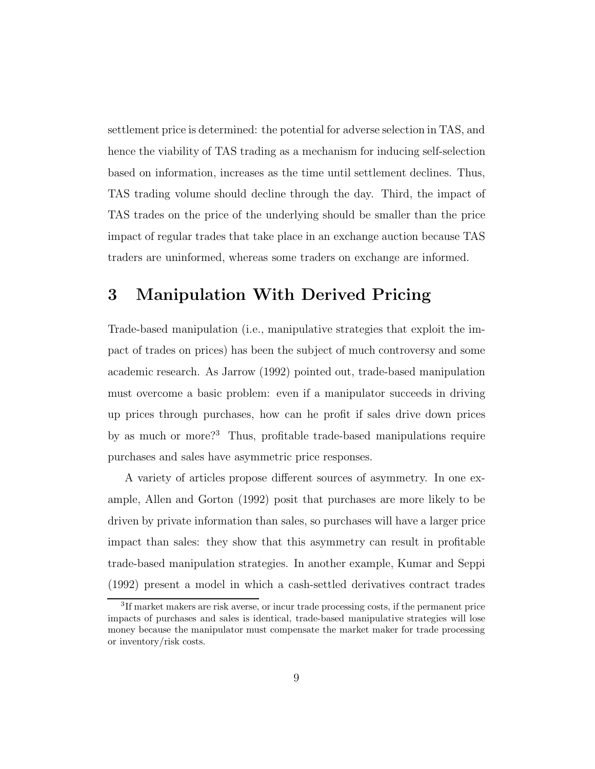settlement price is determined: the potential for adverse selection in TAS, and hence the viability of TAS trading as a mechanism for inducing self-selection based on information, increases as the time until settlement declines. Thus, TAS trading volume should decline through the day. Third, the impact of TAS trades on the price of the underlying should be smaller than the price impact of regular trades that take place in an exchange auction because TAS traders are uninformed, whereas some traders on exchange are informed.

# 3 Manipulation With Derived Pricing

Trade-based manipulation (i.e., manipulative strategies that exploit the impact of trades on prices) has been the subject of much controversy and some academic research. As Jarrow (1992) pointed out, trade-based manipulation must overcome a basic problem: even if a manipulator succeeds in driving up prices through purchases, how can he profit if sales drive down prices by as much or more?<sup>3</sup> Thus, profitable trade-based manipulations require purchases and sales have asymmetric price responses.

A variety of articles propose different sources of asymmetry. In one example, Allen and Gorton (1992) posit that purchases are more likely to be driven by private information than sales, so purchases will have a larger price impact than sales: they show that this asymmetry can result in profitable trade-based manipulation strategies. In another example, Kumar and Seppi (1992) present a model in which a cash-settled derivatives contract trades

<sup>&</sup>lt;sup>3</sup>If market makers are risk averse, or incur trade processing costs, if the permanent price impacts of purchases and sales is identical, trade-based manipulative strategies will lose money because the manipulator must compensate the market maker for trade processing or inventory/risk costs.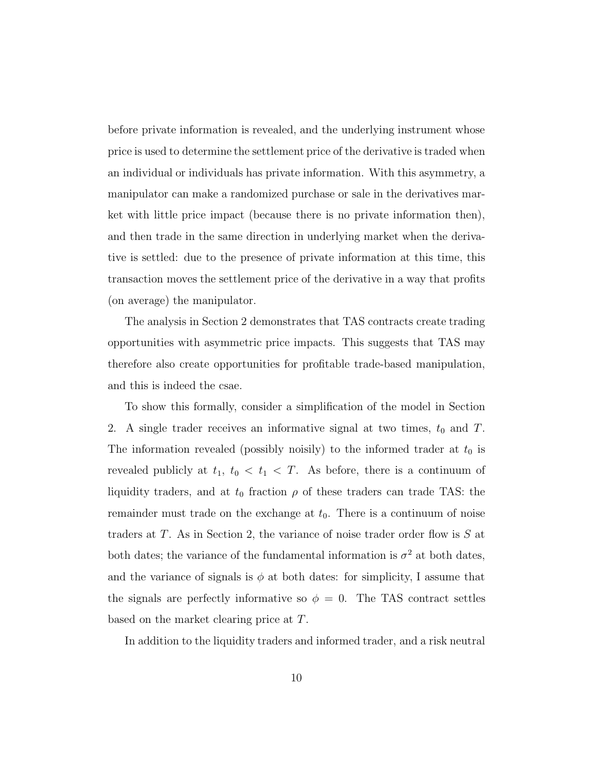before private information is revealed, and the underlying instrument whose price is used to determine the settlement price of the derivative is traded when an individual or individuals has private information. With this asymmetry, a manipulator can make a randomized purchase or sale in the derivatives market with little price impact (because there is no private information then), and then trade in the same direction in underlying market when the derivative is settled: due to the presence of private information at this time, this transaction moves the settlement price of the derivative in a way that profits (on average) the manipulator.

The analysis in Section 2 demonstrates that TAS contracts create trading opportunities with asymmetric price impacts. This suggests that TAS may therefore also create opportunities for profitable trade-based manipulation, and this is indeed the csae.

To show this formally, consider a simplification of the model in Section 2. A single trader receives an informative signal at two times,  $t_0$  and  $T$ . The information revealed (possibly noisily) to the informed trader at  $t_0$  is revealed publicly at  $t_1$ ,  $t_0 < t_1 < T$ . As before, there is a continuum of liquidity traders, and at  $t_0$  fraction  $\rho$  of these traders can trade TAS: the remainder must trade on the exchange at  $t_0$ . There is a continuum of noise traders at  $T$ . As in Section 2, the variance of noise trader order flow is  $S$  at both dates; the variance of the fundamental information is  $\sigma^2$  at both dates, and the variance of signals is  $\phi$  at both dates: for simplicity, I assume that the signals are perfectly informative so  $\phi = 0$ . The TAS contract settles based on the market clearing price at T.

In addition to the liquidity traders and informed trader, and a risk neutral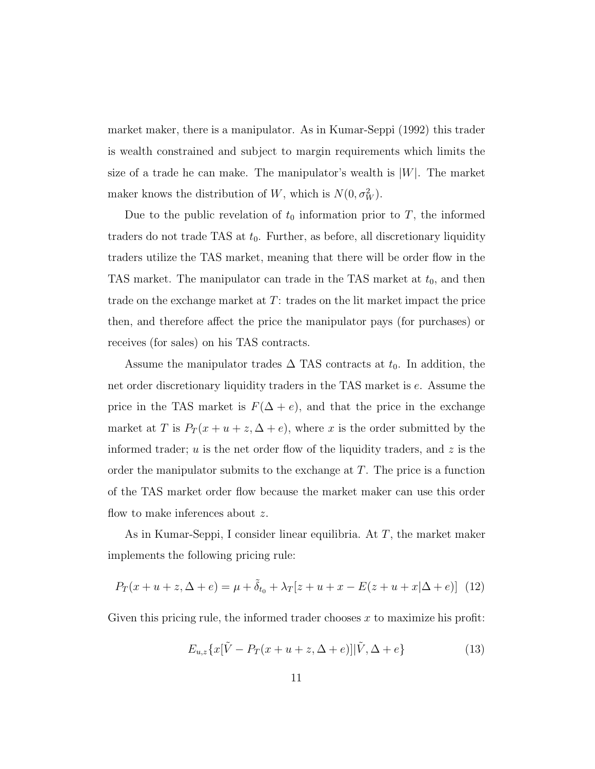market maker, there is a manipulator. As in Kumar-Seppi (1992) this trader is wealth constrained and subject to margin requirements which limits the size of a trade he can make. The manipulator's wealth is  $|W|$ . The market maker knows the distribution of W, which is  $N(0, \sigma_W^2)$ .

Due to the public revelation of  $t_0$  information prior to T, the informed traders do not trade TAS at  $t_0$ . Further, as before, all discretionary liquidity traders utilize the TAS market, meaning that there will be order flow in the TAS market. The manipulator can trade in the TAS market at  $t_0$ , and then trade on the exchange market at  $T$ : trades on the lit market impact the price then, and therefore affect the price the manipulator pays (for purchases) or receives (for sales) on his TAS contracts.

Assume the manipulator trades  $\Delta$  TAS contracts at  $t_0$ . In addition, the net order discretionary liquidity traders in the TAS market is e. Assume the price in the TAS market is  $F(\Delta + e)$ , and that the price in the exchange market at T is  $P_T(x+u+z,\Delta+e)$ , where x is the order submitted by the informed trader;  $u$  is the net order flow of the liquidity traders, and  $z$  is the order the manipulator submits to the exchange at  $T$ . The price is a function of the TAS market order flow because the market maker can use this order flow to make inferences about z.

As in Kumar-Seppi, I consider linear equilibria. At  $T$ , the market maker implements the following pricing rule:

$$
P_T(x + u + z, \Delta + e) = \mu + \tilde{\delta}_{t_0} + \lambda_T [z + u + x - E(z + u + x | \Delta + e)] \tag{12}
$$

Given this pricing rule, the informed trader chooses  $x$  to maximize his profit:

$$
E_{u,z}\left\{x[\tilde{V} - P_T(x+u+z,\Delta+e)]|\tilde{V},\Delta+e\right\}
$$
\n(13)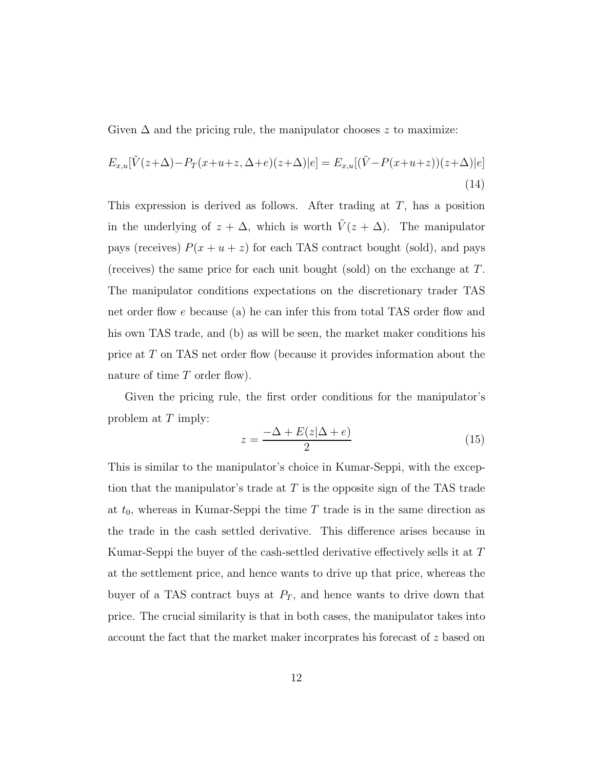Given  $\Delta$  and the pricing rule, the manipulator chooses z to maximize:

$$
E_{x,u}[\tilde{V}(z+\Delta) - P_T(x+u+z,\Delta+e)(z+\Delta)|e] = E_{x,u}[(\tilde{V} - P(x+u+z))(z+\Delta)|e]
$$
\n(14)

This expression is derived as follows. After trading at  $T$ , has a position in the underlying of  $z + \Delta$ , which is worth  $\tilde{V}(z + \Delta)$ . The manipulator pays (receives)  $P(x + u + z)$  for each TAS contract bought (sold), and pays (receives) the same price for each unit bought (sold) on the exchange at  $T$ . The manipulator conditions expectations on the discretionary trader TAS net order flow e because (a) he can infer this from total TAS order flow and his own TAS trade, and (b) as will be seen, the market maker conditions his price at T on TAS net order flow (because it provides information about the nature of time  $T$  order flow).

Given the pricing rule, the first order conditions for the manipulator's problem at  $T$  imply:

$$
z = \frac{-\Delta + E(z|\Delta + e)}{2} \tag{15}
$$

This is similar to the manipulator's choice in Kumar-Seppi, with the exception that the manipulator's trade at T is the opposite sign of the TAS trade at  $t_0$ , whereas in Kumar-Seppi the time T trade is in the same direction as the trade in the cash settled derivative. This difference arises because in Kumar-Seppi the buyer of the cash-settled derivative effectively sells it at T at the settlement price, and hence wants to drive up that price, whereas the buyer of a TAS contract buys at  $P_T$ , and hence wants to drive down that price. The crucial similarity is that in both cases, the manipulator takes into account the fact that the market maker incorprates his forecast of z based on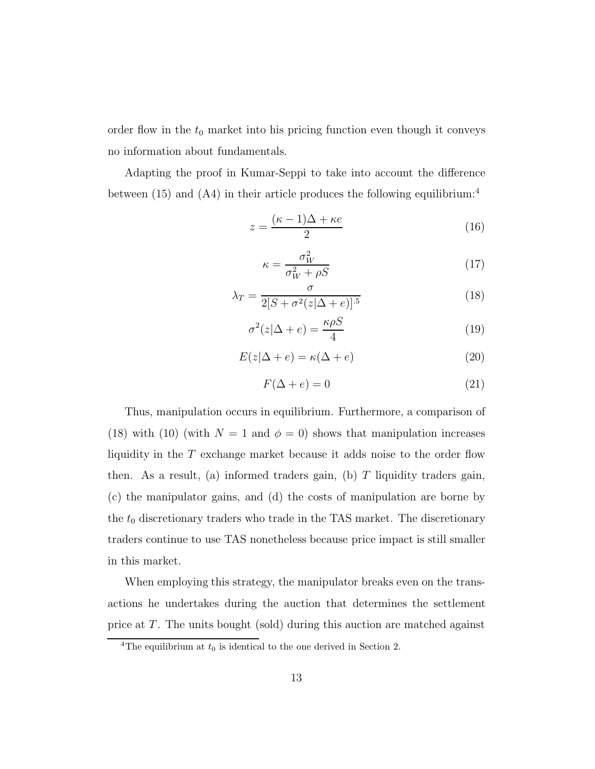order flow in the  $t_0$  market into his pricing function even though it conveys no information about fundamentals.

Adapting the proof in Kumar-Seppi to take into account the difference between (15) and (A4) in their article produces the following equilibrium:<sup>4</sup>

$$
z = \frac{(\kappa - 1)\Delta + \kappa e}{2} \tag{16}
$$

$$
\kappa = \frac{\sigma_W^2}{\sigma_W^2 + \rho S} \tag{17}
$$

$$
\lambda_T = \frac{\sigma}{2[S + \sigma^2(z|\Delta + e)]^{.5}}
$$
\n(18)

$$
\sigma^2(z|\Delta + e) = \frac{\kappa \rho S}{4} \tag{19}
$$

$$
E(z|\Delta + e) = \kappa(\Delta + e)
$$
 (20)

$$
F(\Delta + e) = 0 \tag{21}
$$

Thus, manipulation occurs in equilibrium. Furthermore, a comparison of (18) with (10) (with  $N = 1$  and  $\phi = 0$ ) shows that manipulation increases liquidity in the T exchange market because it adds noise to the order flow then. As a result, (a) informed traders gain, (b)  $T$  liquidity traders gain, (c) the manipulator gains, and (d) the costs of manipulation are borne by the  $t_0$  discretionary traders who trade in the TAS market. The discretionary traders continue to use TAS nonetheless because price impact is still smaller in this market.

When employing this strategy, the manipulator breaks even on the transactions he undertakes during the auction that determines the settlement price at  $T$ . The units bought (sold) during this auction are matched against

<sup>&</sup>lt;sup>4</sup>The equilibrium at  $t_0$  is identical to the one derived in Section 2.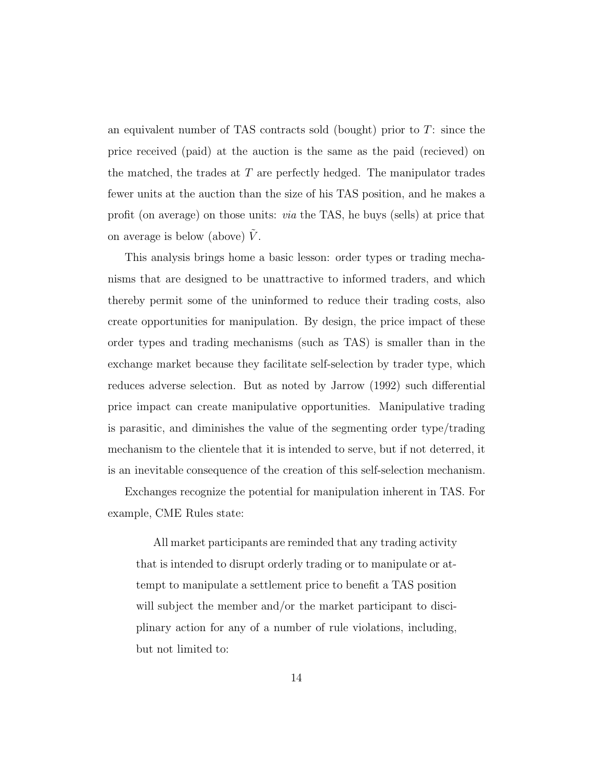an equivalent number of TAS contracts sold (bought) prior to  $T$ : since the price received (paid) at the auction is the same as the paid (recieved) on the matched, the trades at  $T$  are perfectly hedged. The manipulator trades fewer units at the auction than the size of his TAS position, and he makes a profit (on average) on those units: via the TAS, he buys (sells) at price that on average is below (above)  $\tilde{V}$ .

This analysis brings home a basic lesson: order types or trading mechanisms that are designed to be unattractive to informed traders, and which thereby permit some of the uninformed to reduce their trading costs, also create opportunities for manipulation. By design, the price impact of these order types and trading mechanisms (such as TAS) is smaller than in the exchange market because they facilitate self-selection by trader type, which reduces adverse selection. But as noted by Jarrow (1992) such differential price impact can create manipulative opportunities. Manipulative trading is parasitic, and diminishes the value of the segmenting order type/trading mechanism to the clientele that it is intended to serve, but if not deterred, it is an inevitable consequence of the creation of this self-selection mechanism.

Exchanges recognize the potential for manipulation inherent in TAS. For example, CME Rules state:

All market participants are reminded that any trading activity that is intended to disrupt orderly trading or to manipulate or attempt to manipulate a settlement price to benefit a TAS position will subject the member and/or the market participant to disciplinary action for any of a number of rule violations, including, but not limited to: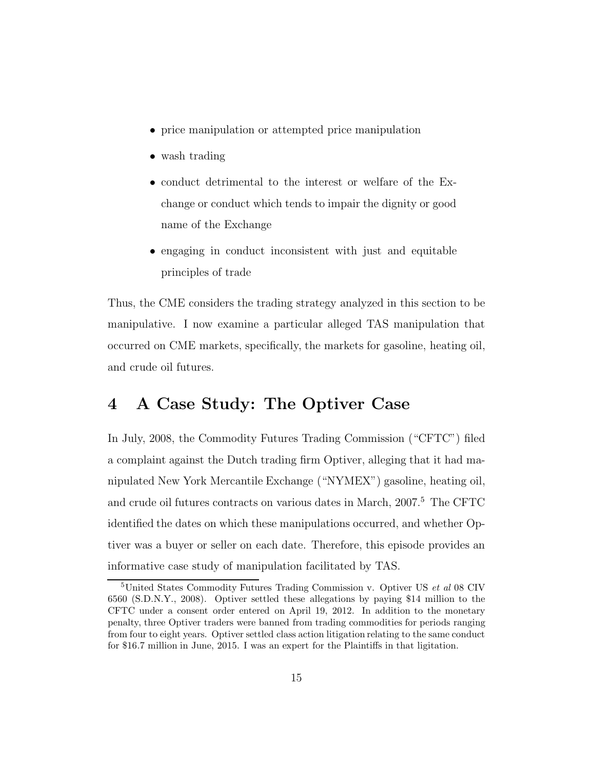- price manipulation or attempted price manipulation
- wash trading
- conduct detrimental to the interest or welfare of the Exchange or conduct which tends to impair the dignity or good name of the Exchange
- engaging in conduct inconsistent with just and equitable principles of trade

Thus, the CME considers the trading strategy analyzed in this section to be manipulative. I now examine a particular alleged TAS manipulation that occurred on CME markets, specifically, the markets for gasoline, heating oil, and crude oil futures.

# 4 A Case Study: The Optiver Case

In July, 2008, the Commodity Futures Trading Commission ("CFTC") filed a complaint against the Dutch trading firm Optiver, alleging that it had manipulated New York Mercantile Exchange ("NYMEX") gasoline, heating oil, and crude oil futures contracts on various dates in March, 2007.<sup>5</sup> The CFTC identified the dates on which these manipulations occurred, and whether Optiver was a buyer or seller on each date. Therefore, this episode provides an informative case study of manipulation facilitated by TAS.

<sup>5</sup>United States Commodity Futures Trading Commission v. Optiver US et al 08 CIV 6560 (S.D.N.Y., 2008). Optiver settled these allegations by paying \$14 million to the CFTC under a consent order entered on April 19, 2012. In addition to the monetary penalty, three Optiver traders were banned from trading commodities for periods ranging from four to eight years. Optiver settled class action litigation relating to the same conduct for \$16.7 million in June, 2015. I was an expert for the Plaintiffs in that ligitation.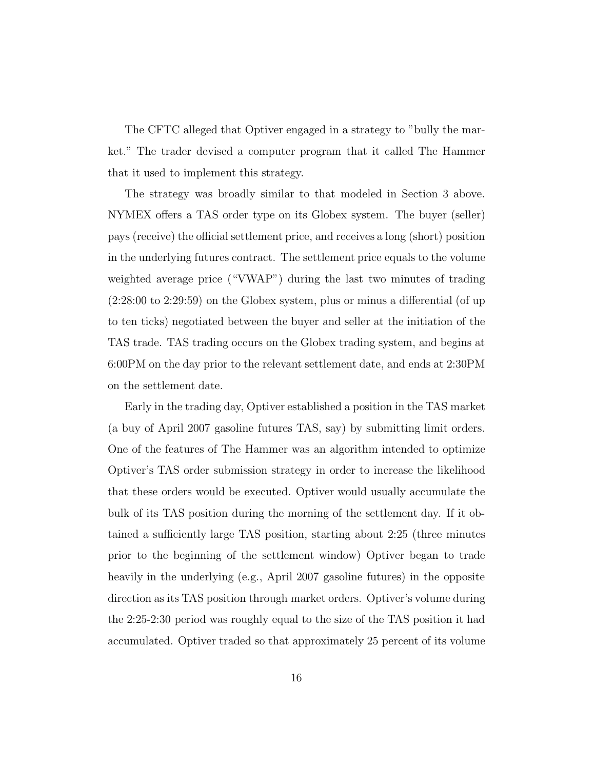The CFTC alleged that Optiver engaged in a strategy to "bully the market." The trader devised a computer program that it called The Hammer that it used to implement this strategy.

The strategy was broadly similar to that modeled in Section 3 above. NYMEX offers a TAS order type on its Globex system. The buyer (seller) pays (receive) the official settlement price, and receives a long (short) position in the underlying futures contract. The settlement price equals to the volume weighted average price ("VWAP") during the last two minutes of trading (2:28:00 to 2:29:59) on the Globex system, plus or minus a differential (of up to ten ticks) negotiated between the buyer and seller at the initiation of the TAS trade. TAS trading occurs on the Globex trading system, and begins at 6:00PM on the day prior to the relevant settlement date, and ends at 2:30PM on the settlement date.

Early in the trading day, Optiver established a position in the TAS market (a buy of April 2007 gasoline futures TAS, say) by submitting limit orders. One of the features of The Hammer was an algorithm intended to optimize Optiver's TAS order submission strategy in order to increase the likelihood that these orders would be executed. Optiver would usually accumulate the bulk of its TAS position during the morning of the settlement day. If it obtained a sufficiently large TAS position, starting about 2:25 (three minutes prior to the beginning of the settlement window) Optiver began to trade heavily in the underlying (e.g., April 2007 gasoline futures) in the opposite direction as its TAS position through market orders. Optiver's volume during the 2:25-2:30 period was roughly equal to the size of the TAS position it had accumulated. Optiver traded so that approximately 25 percent of its volume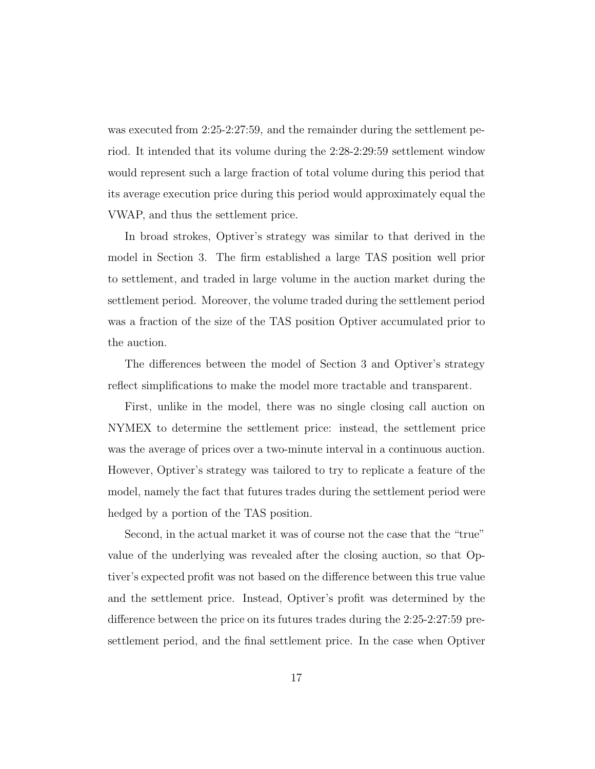was executed from 2:25-2:27:59, and the remainder during the settlement period. It intended that its volume during the 2:28-2:29:59 settlement window would represent such a large fraction of total volume during this period that its average execution price during this period would approximately equal the VWAP, and thus the settlement price.

In broad strokes, Optiver's strategy was similar to that derived in the model in Section 3. The firm established a large TAS position well prior to settlement, and traded in large volume in the auction market during the settlement period. Moreover, the volume traded during the settlement period was a fraction of the size of the TAS position Optiver accumulated prior to the auction.

The differences between the model of Section 3 and Optiver's strategy reflect simplifications to make the model more tractable and transparent.

First, unlike in the model, there was no single closing call auction on NYMEX to determine the settlement price: instead, the settlement price was the average of prices over a two-minute interval in a continuous auction. However, Optiver's strategy was tailored to try to replicate a feature of the model, namely the fact that futures trades during the settlement period were hedged by a portion of the TAS position.

Second, in the actual market it was of course not the case that the "true" value of the underlying was revealed after the closing auction, so that Optiver's expected profit was not based on the difference between this true value and the settlement price. Instead, Optiver's profit was determined by the difference between the price on its futures trades during the 2:25-2:27:59 presettlement period, and the final settlement price. In the case when Optiver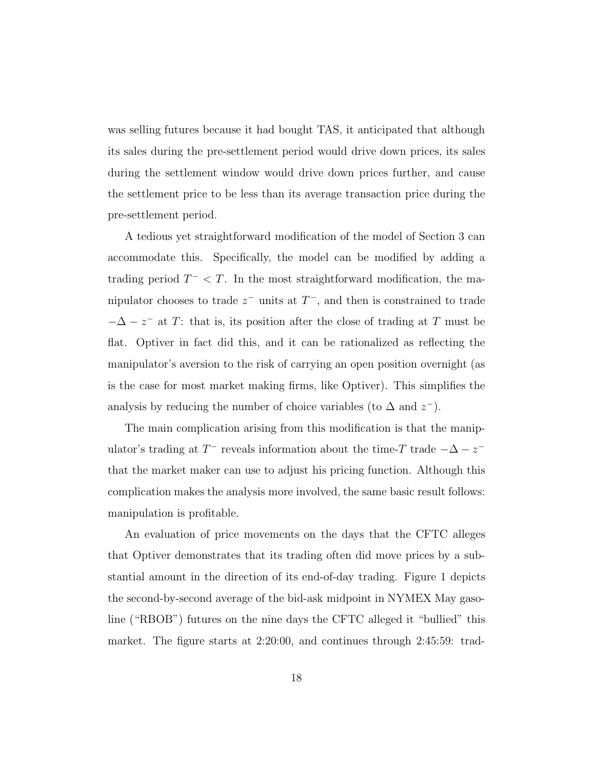was selling futures because it had bought TAS, it anticipated that although its sales during the pre-settlement period would drive down prices, its sales during the settlement window would drive down prices further, and cause the settlement price to be less than its average transaction price during the pre-settlement period.

A tedious yet straightforward modification of the model of Section 3 can accommodate this. Specifically, the model can be modified by adding a trading period  $T^- < T$ . In the most straightforward modification, the manipulator chooses to trade  $z^-$  units at  $T^-$ , and then is constrained to trade  $-\Delta - z^-$  at T: that is, its position after the close of trading at T must be flat. Optiver in fact did this, and it can be rationalized as reflecting the manipulator's aversion to the risk of carrying an open position overnight (as is the case for most market making firms, like Optiver). This simplifies the analysis by reducing the number of choice variables (to  $\Delta$  and  $z^-$ ).

The main complication arising from this modification is that the manipulator's trading at  $T^-$  reveals information about the time-T trade  $-\Delta - z^$ that the market maker can use to adjust his pricing function. Although this complication makes the analysis more involved, the same basic result follows: manipulation is profitable.

An evaluation of price movements on the days that the CFTC alleges that Optiver demonstrates that its trading often did move prices by a substantial amount in the direction of its end-of-day trading. Figure 1 depicts the second-by-second average of the bid-ask midpoint in NYMEX May gasoline ("RBOB") futures on the nine days the CFTC alleged it "bullied" this market. The figure starts at 2:20:00, and continues through 2:45:59: trad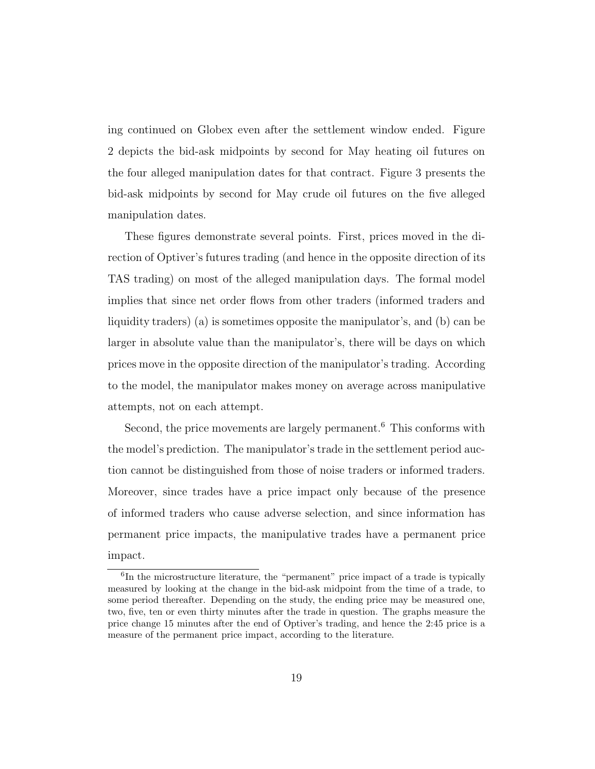ing continued on Globex even after the settlement window ended. Figure 2 depicts the bid-ask midpoints by second for May heating oil futures on the four alleged manipulation dates for that contract. Figure 3 presents the bid-ask midpoints by second for May crude oil futures on the five alleged manipulation dates.

These figures demonstrate several points. First, prices moved in the direction of Optiver's futures trading (and hence in the opposite direction of its TAS trading) on most of the alleged manipulation days. The formal model implies that since net order flows from other traders (informed traders and liquidity traders) (a) is sometimes opposite the manipulator's, and (b) can be larger in absolute value than the manipulator's, there will be days on which prices move in the opposite direction of the manipulator's trading. According to the model, the manipulator makes money on average across manipulative attempts, not on each attempt.

Second, the price movements are largely permanent.<sup>6</sup> This conforms with the model's prediction. The manipulator's trade in the settlement period auction cannot be distinguished from those of noise traders or informed traders. Moreover, since trades have a price impact only because of the presence of informed traders who cause adverse selection, and since information has permanent price impacts, the manipulative trades have a permanent price impact.

<sup>&</sup>lt;sup>6</sup>In the microstructure literature, the "permanent" price impact of a trade is typically measured by looking at the change in the bid-ask midpoint from the time of a trade, to some period thereafter. Depending on the study, the ending price may be measured one, two, five, ten or even thirty minutes after the trade in question. The graphs measure the price change 15 minutes after the end of Optiver's trading, and hence the 2:45 price is a measure of the permanent price impact, according to the literature.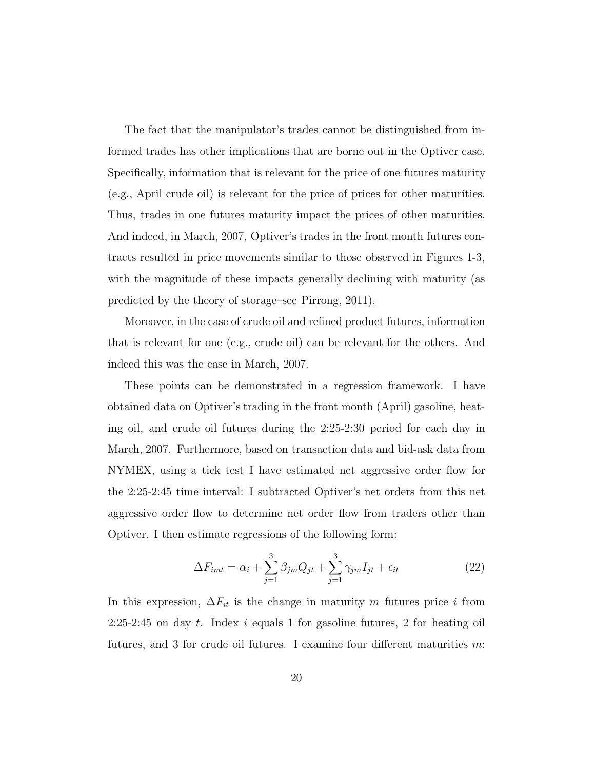The fact that the manipulator's trades cannot be distinguished from informed trades has other implications that are borne out in the Optiver case. Specifically, information that is relevant for the price of one futures maturity (e.g., April crude oil) is relevant for the price of prices for other maturities. Thus, trades in one futures maturity impact the prices of other maturities. And indeed, in March, 2007, Optiver's trades in the front month futures contracts resulted in price movements similar to those observed in Figures 1-3, with the magnitude of these impacts generally declining with maturity (as predicted by the theory of storage–see Pirrong, 2011).

Moreover, in the case of crude oil and refined product futures, information that is relevant for one (e.g., crude oil) can be relevant for the others. And indeed this was the case in March, 2007.

These points can be demonstrated in a regression framework. I have obtained data on Optiver's trading in the front month (April) gasoline, heating oil, and crude oil futures during the 2:25-2:30 period for each day in March, 2007. Furthermore, based on transaction data and bid-ask data from NYMEX, using a tick test I have estimated net aggressive order flow for the 2:25-2:45 time interval: I subtracted Optiver's net orders from this net aggressive order flow to determine net order flow from traders other than Optiver. I then estimate regressions of the following form:

$$
\Delta F_{imt} = \alpha_i + \sum_{j=1}^{3} \beta_{jm} Q_{jt} + \sum_{j=1}^{3} \gamma_{jm} I_{jt} + \epsilon_{it}
$$
\n(22)

In this expression,  $\Delta F_{it}$  is the change in maturity m futures price i from 2:25-2:45 on day  $t$ . Index  $i$  equals 1 for gasoline futures, 2 for heating oil futures, and 3 for crude oil futures. I examine four different maturities m: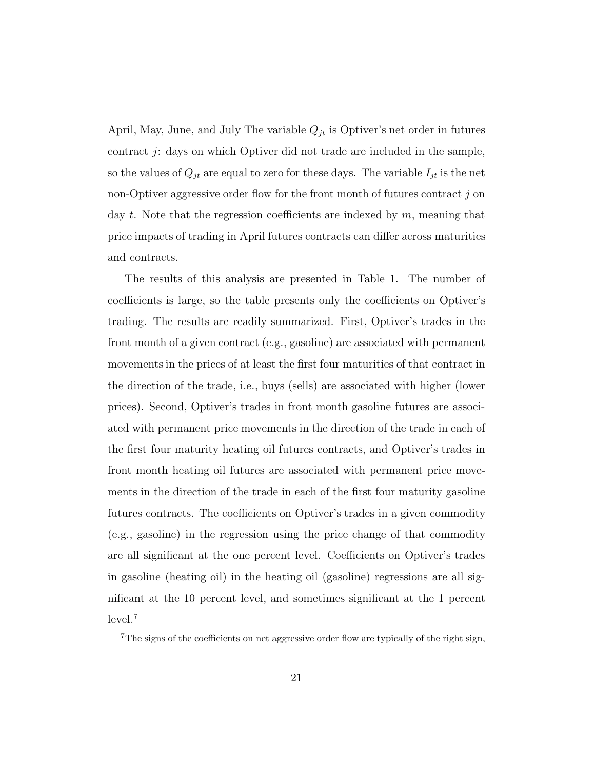April, May, June, and July The variable  $Q_{jt}$  is Optiver's net order in futures contract j: days on which Optiver did not trade are included in the sample, so the values of  $Q_{jt}$  are equal to zero for these days. The variable  $I_{jt}$  is the net non-Optiver aggressive order flow for the front month of futures contract  $j$  on day t. Note that the regression coefficients are indexed by  $m$ , meaning that price impacts of trading in April futures contracts can differ across maturities and contracts.

The results of this analysis are presented in Table 1. The number of coefficients is large, so the table presents only the coefficients on Optiver's trading. The results are readily summarized. First, Optiver's trades in the front month of a given contract (e.g., gasoline) are associated with permanent movements in the prices of at least the first four maturities of that contract in the direction of the trade, i.e., buys (sells) are associated with higher (lower prices). Second, Optiver's trades in front month gasoline futures are associated with permanent price movements in the direction of the trade in each of the first four maturity heating oil futures contracts, and Optiver's trades in front month heating oil futures are associated with permanent price movements in the direction of the trade in each of the first four maturity gasoline futures contracts. The coefficients on Optiver's trades in a given commodity (e.g., gasoline) in the regression using the price change of that commodity are all significant at the one percent level. Coefficients on Optiver's trades in gasoline (heating oil) in the heating oil (gasoline) regressions are all significant at the 10 percent level, and sometimes significant at the 1 percent level.<sup>7</sup>

<sup>&</sup>lt;sup>7</sup>The signs of the coefficients on net aggressive order flow are typically of the right sign,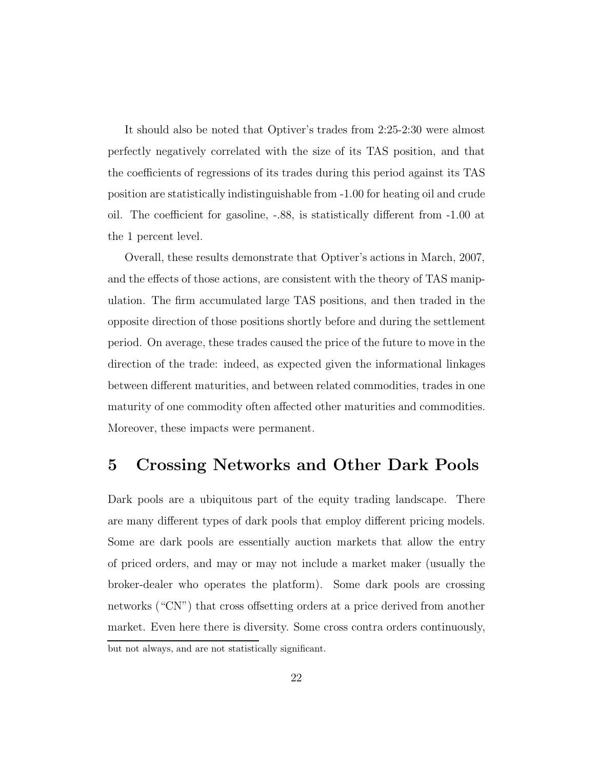It should also be noted that Optiver's trades from 2:25-2:30 were almost perfectly negatively correlated with the size of its TAS position, and that the coefficients of regressions of its trades during this period against its TAS position are statistically indistinguishable from -1.00 for heating oil and crude oil. The coefficient for gasoline, -.88, is statistically different from -1.00 at the 1 percent level.

Overall, these results demonstrate that Optiver's actions in March, 2007, and the effects of those actions, are consistent with the theory of TAS manipulation. The firm accumulated large TAS positions, and then traded in the opposite direction of those positions shortly before and during the settlement period. On average, these trades caused the price of the future to move in the direction of the trade: indeed, as expected given the informational linkages between different maturities, and between related commodities, trades in one maturity of one commodity often affected other maturities and commodities. Moreover, these impacts were permanent.

#### 5 Crossing Networks and Other Dark Pools

Dark pools are a ubiquitous part of the equity trading landscape. There are many different types of dark pools that employ different pricing models. Some are dark pools are essentially auction markets that allow the entry of priced orders, and may or may not include a market maker (usually the broker-dealer who operates the platform). Some dark pools are crossing networks ("CN") that cross offsetting orders at a price derived from another market. Even here there is diversity. Some cross contra orders continuously,

but not always, and are not statistically significant.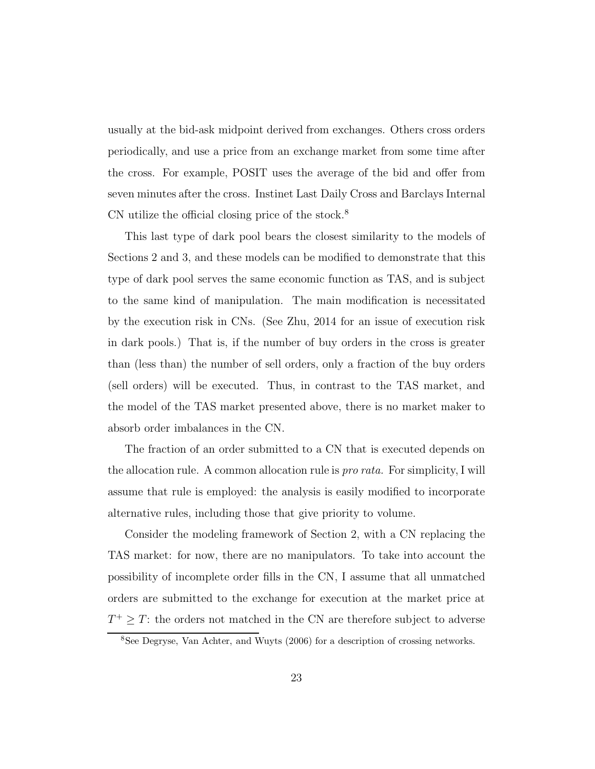usually at the bid-ask midpoint derived from exchanges. Others cross orders periodically, and use a price from an exchange market from some time after the cross. For example, POSIT uses the average of the bid and offer from seven minutes after the cross. Instinet Last Daily Cross and Barclays Internal CN utilize the official closing price of the stock.<sup>8</sup>

This last type of dark pool bears the closest similarity to the models of Sections 2 and 3, and these models can be modified to demonstrate that this type of dark pool serves the same economic function as TAS, and is subject to the same kind of manipulation. The main modification is necessitated by the execution risk in CNs. (See Zhu, 2014 for an issue of execution risk in dark pools.) That is, if the number of buy orders in the cross is greater than (less than) the number of sell orders, only a fraction of the buy orders (sell orders) will be executed. Thus, in contrast to the TAS market, and the model of the TAS market presented above, there is no market maker to absorb order imbalances in the CN.

The fraction of an order submitted to a CN that is executed depends on the allocation rule. A common allocation rule is pro rata. For simplicity, I will assume that rule is employed: the analysis is easily modified to incorporate alternative rules, including those that give priority to volume.

Consider the modeling framework of Section 2, with a CN replacing the TAS market: for now, there are no manipulators. To take into account the possibility of incomplete order fills in the CN, I assume that all unmatched orders are submitted to the exchange for execution at the market price at  $T^{\dagger} \geq T$ : the orders not matched in the CN are therefore subject to adverse

<sup>8</sup>See Degryse, Van Achter, and Wuyts (2006) for a description of crossing networks.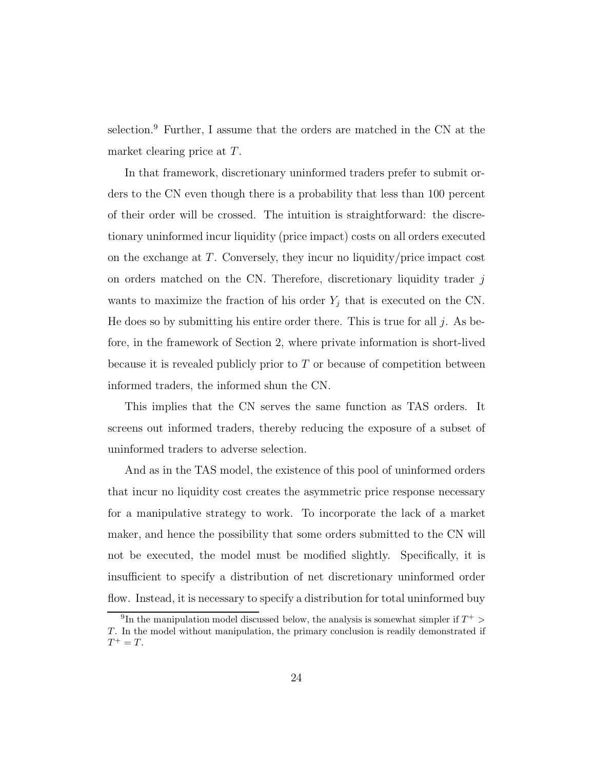selection.<sup>9</sup> Further, I assume that the orders are matched in the CN at the market clearing price at T.

In that framework, discretionary uninformed traders prefer to submit orders to the CN even though there is a probability that less than 100 percent of their order will be crossed. The intuition is straightforward: the discretionary uninformed incur liquidity (price impact) costs on all orders executed on the exchange at  $T$ . Conversely, they incur no liquidity/price impact cost on orders matched on the CN. Therefore, discretionary liquidity trader  $j$ wants to maximize the fraction of his order  $Y_j$  that is executed on the CN. He does so by submitting his entire order there. This is true for all  $j$ . As before, in the framework of Section 2, where private information is short-lived because it is revealed publicly prior to  $T$  or because of competition between informed traders, the informed shun the CN.

This implies that the CN serves the same function as TAS orders. It screens out informed traders, thereby reducing the exposure of a subset of uninformed traders to adverse selection.

And as in the TAS model, the existence of this pool of uninformed orders that incur no liquidity cost creates the asymmetric price response necessary for a manipulative strategy to work. To incorporate the lack of a market maker, and hence the possibility that some orders submitted to the CN will not be executed, the model must be modified slightly. Specifically, it is insufficient to specify a distribution of net discretionary uninformed order flow. Instead, it is necessary to specify a distribution for total uninformed buy

<sup>&</sup>lt;sup>9</sup>In the manipulation model discussed below, the analysis is somewhat simpler if  $T^+$  > T. In the model without manipulation, the primary conclusion is readily demonstrated if  $T^+ = T$ .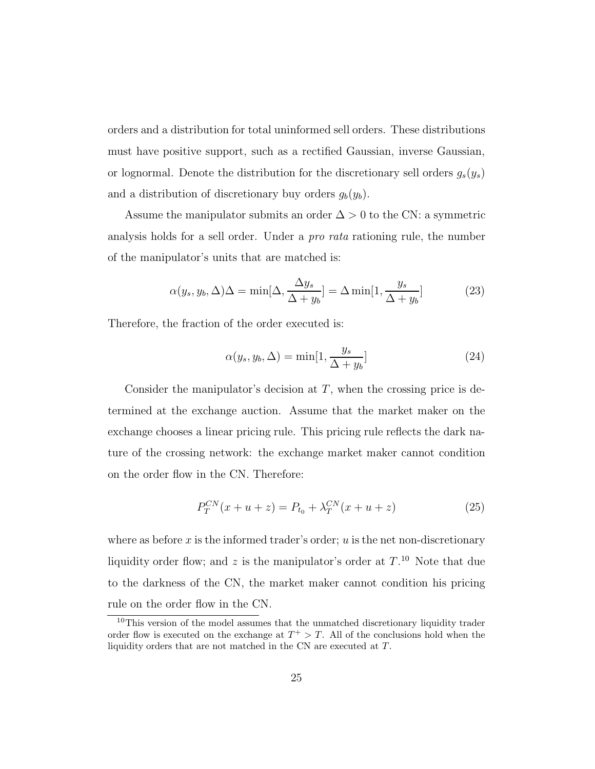orders and a distribution for total uninformed sell orders. These distributions must have positive support, such as a rectified Gaussian, inverse Gaussian, or lognormal. Denote the distribution for the discretionary sell orders  $g_s(y_s)$ and a distribution of discretionary buy orders  $g_b(y_b)$ .

Assume the manipulator submits an order  $\Delta > 0$  to the CN: a symmetric analysis holds for a sell order. Under a pro rata rationing rule, the number of the manipulator's units that are matched is:

$$
\alpha(y_s, y_b, \Delta)\Delta = \min[\Delta, \frac{\Delta y_s}{\Delta + y_b}] = \Delta \min[1, \frac{y_s}{\Delta + y_b}]
$$
\n(23)

Therefore, the fraction of the order executed is:

$$
\alpha(y_s, y_b, \Delta) = \min[1, \frac{y_s}{\Delta + y_b}] \tag{24}
$$

Consider the manipulator's decision at  $T$ , when the crossing price is determined at the exchange auction. Assume that the market maker on the exchange chooses a linear pricing rule. This pricing rule reflects the dark nature of the crossing network: the exchange market maker cannot condition on the order flow in the CN. Therefore:

$$
P_T^{CN}(x+u+z) = P_{t_0} + \lambda_T^{CN}(x+u+z)
$$
\n(25)

where as before x is the informed trader's order;  $u$  is the net non-discretionary liquidity order flow; and z is the manipulator's order at  $T$ .<sup>10</sup> Note that due to the darkness of the CN, the market maker cannot condition his pricing rule on the order flow in the CN.

<sup>10</sup>This version of the model assumes that the unmatched discretionary liquidity trader order flow is executed on the exchange at  $T^+ > T$ . All of the conclusions hold when the liquidity orders that are not matched in the CN are executed at T.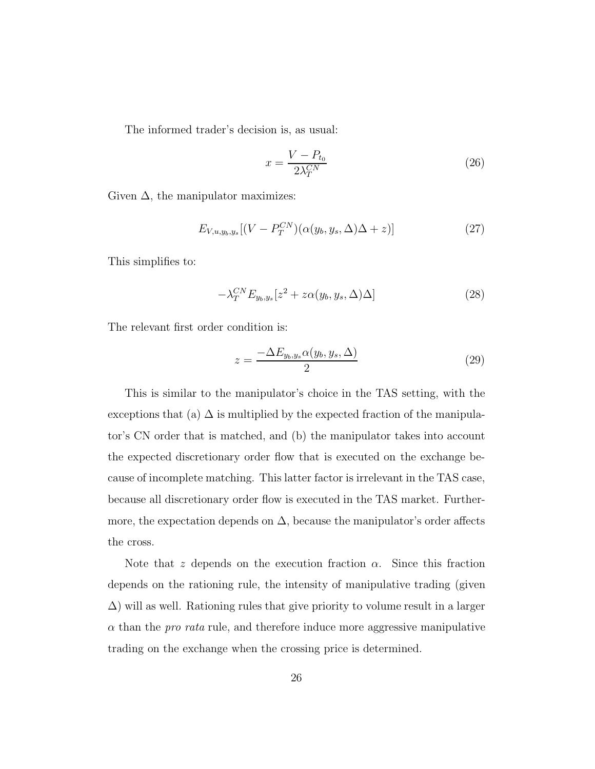The informed trader's decision is, as usual:

$$
x = \frac{V - P_{t_0}}{2\lambda_T^{CN}}\tag{26}
$$

Given  $\Delta$ , the manipulator maximizes:

$$
E_{V,u,y_b,y_s}[(V - P_T^{CN})(\alpha(y_b, y_s, \Delta)\Delta + z)] \tag{27}
$$

This simplifies to:

$$
-\lambda_T^{CN} E_{y_b, y_s} [z^2 + z\alpha(y_b, y_s, \Delta)\Delta]
$$
\n(28)

The relevant first order condition is:

$$
z = \frac{-\Delta E_{y_b, y_s} \alpha(y_b, y_s, \Delta)}{2} \tag{29}
$$

This is similar to the manipulator's choice in the TAS setting, with the exceptions that (a)  $\Delta$  is multiplied by the expected fraction of the manipulator's CN order that is matched, and (b) the manipulator takes into account the expected discretionary order flow that is executed on the exchange because of incomplete matching. This latter factor is irrelevant in the TAS case, because all discretionary order flow is executed in the TAS market. Furthermore, the expectation depends on  $\Delta$ , because the manipulator's order affects the cross.

Note that z depends on the execution fraction  $\alpha$ . Since this fraction depends on the rationing rule, the intensity of manipulative trading (given ∆) will as well. Rationing rules that give priority to volume result in a larger  $\alpha$  than the *pro rata* rule, and therefore induce more aggressive manipulative trading on the exchange when the crossing price is determined.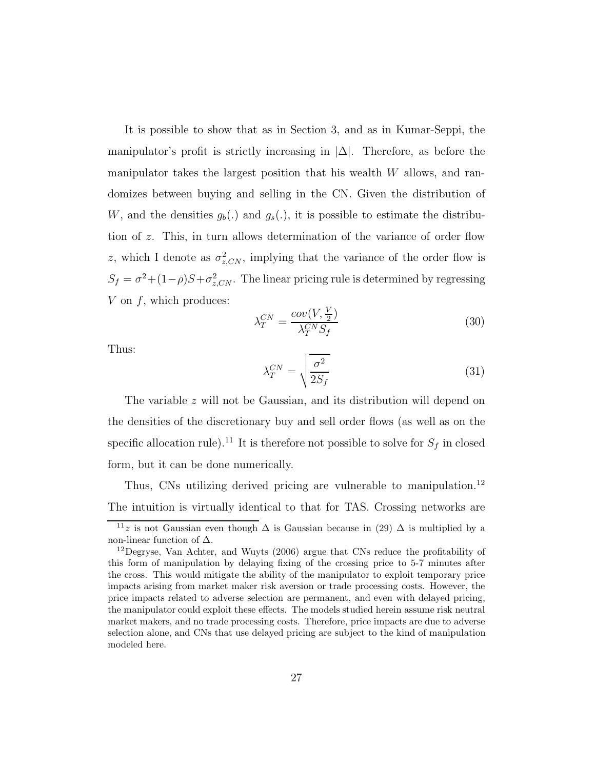It is possible to show that as in Section 3, and as in Kumar-Seppi, the manipulator's profit is strictly increasing in  $|\Delta|$ . Therefore, as before the manipulator takes the largest position that his wealth W allows, and randomizes between buying and selling in the CN. Given the distribution of W, and the densities  $g_b(.)$  and  $g_s(.)$ , it is possible to estimate the distribution of z. This, in turn allows determination of the variance of order flow z, which I denote as  $\sigma_{z,CN}^2$ , implying that the variance of the order flow is  $S_f = \sigma^2 + (1-\rho)S + \sigma_{z,CN}^2$ . The linear pricing rule is determined by regressing  $V$  on  $f$ , which produces:

$$
\lambda_T^{CN} = \frac{cov(V, \frac{V}{2})}{\lambda_T^{CN} S_f} \tag{30}
$$

Thus:

$$
\lambda_T^{CN} = \sqrt{\frac{\sigma^2}{2S_f}}
$$
\n(31)

The variable z will not be Gaussian, and its distribution will depend on the densities of the discretionary buy and sell order flows (as well as on the specific allocation rule).<sup>11</sup> It is therefore not possible to solve for  $S_f$  in closed form, but it can be done numerically.

Thus, CNs utilizing derived pricing are vulnerable to manipulation.<sup>12</sup> The intuition is virtually identical to that for TAS. Crossing networks are

<sup>&</sup>lt;sup>11</sup>z is not Gaussian even though  $\Delta$  is Gaussian because in (29)  $\Delta$  is multiplied by a non-linear function of  $\Delta$ .

 $12$ Degryse, Van Achter, and Wuyts (2006) argue that CNs reduce the profitability of this form of manipulation by delaying fixing of the crossing price to 5-7 minutes after the cross. This would mitigate the ability of the manipulator to exploit temporary price impacts arising from market maker risk aversion or trade processing costs. However, the price impacts related to adverse selection are permanent, and even with delayed pricing, the manipulator could exploit these effects. The models studied herein assume risk neutral market makers, and no trade processing costs. Therefore, price impacts are due to adverse selection alone, and CNs that use delayed pricing are subject to the kind of manipulation modeled here.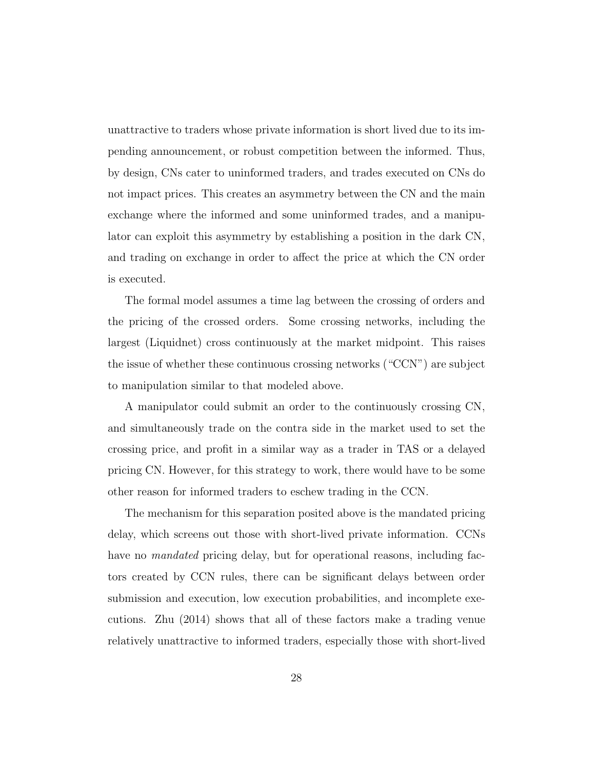unattractive to traders whose private information is short lived due to its impending announcement, or robust competition between the informed. Thus, by design, CNs cater to uninformed traders, and trades executed on CNs do not impact prices. This creates an asymmetry between the CN and the main exchange where the informed and some uninformed trades, and a manipulator can exploit this asymmetry by establishing a position in the dark CN, and trading on exchange in order to affect the price at which the CN order is executed.

The formal model assumes a time lag between the crossing of orders and the pricing of the crossed orders. Some crossing networks, including the largest (Liquidnet) cross continuously at the market midpoint. This raises the issue of whether these continuous crossing networks ("CCN") are subject to manipulation similar to that modeled above.

A manipulator could submit an order to the continuously crossing CN, and simultaneously trade on the contra side in the market used to set the crossing price, and profit in a similar way as a trader in TAS or a delayed pricing CN. However, for this strategy to work, there would have to be some other reason for informed traders to eschew trading in the CCN.

The mechanism for this separation posited above is the mandated pricing delay, which screens out those with short-lived private information. CCNs have no *mandated* pricing delay, but for operational reasons, including factors created by CCN rules, there can be significant delays between order submission and execution, low execution probabilities, and incomplete executions. Zhu (2014) shows that all of these factors make a trading venue relatively unattractive to informed traders, especially those with short-lived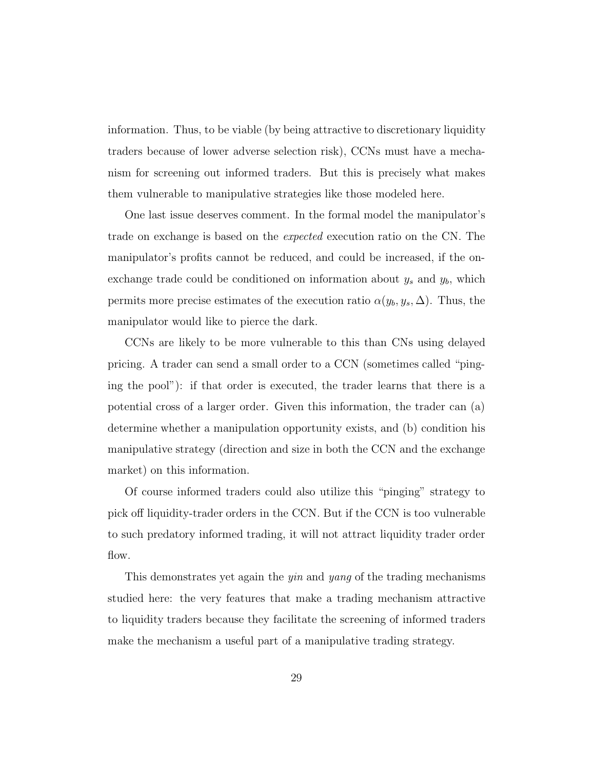information. Thus, to be viable (by being attractive to discretionary liquidity traders because of lower adverse selection risk), CCNs must have a mechanism for screening out informed traders. But this is precisely what makes them vulnerable to manipulative strategies like those modeled here.

One last issue deserves comment. In the formal model the manipulator's trade on exchange is based on the expected execution ratio on the CN. The manipulator's profits cannot be reduced, and could be increased, if the onexchange trade could be conditioned on information about  $y_s$  and  $y_b$ , which permits more precise estimates of the execution ratio  $\alpha(y_b, y_s, \Delta)$ . Thus, the manipulator would like to pierce the dark.

CCNs are likely to be more vulnerable to this than CNs using delayed pricing. A trader can send a small order to a CCN (sometimes called "pinging the pool"): if that order is executed, the trader learns that there is a potential cross of a larger order. Given this information, the trader can (a) determine whether a manipulation opportunity exists, and (b) condition his manipulative strategy (direction and size in both the CCN and the exchange market) on this information.

Of course informed traders could also utilize this "pinging" strategy to pick off liquidity-trader orders in the CCN. But if the CCN is too vulnerable to such predatory informed trading, it will not attract liquidity trader order flow.

This demonstrates yet again the *yin* and *yang* of the trading mechanisms studied here: the very features that make a trading mechanism attractive to liquidity traders because they facilitate the screening of informed traders make the mechanism a useful part of a manipulative trading strategy.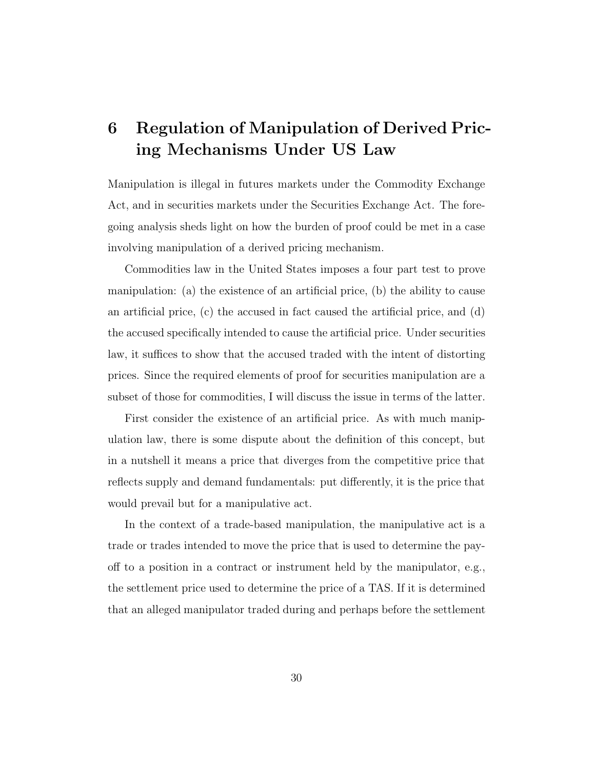# 6 Regulation of Manipulation of Derived Pricing Mechanisms Under US Law

Manipulation is illegal in futures markets under the Commodity Exchange Act, and in securities markets under the Securities Exchange Act. The foregoing analysis sheds light on how the burden of proof could be met in a case involving manipulation of a derived pricing mechanism.

Commodities law in the United States imposes a four part test to prove manipulation: (a) the existence of an artificial price, (b) the ability to cause an artificial price, (c) the accused in fact caused the artificial price, and (d) the accused specifically intended to cause the artificial price. Under securities law, it suffices to show that the accused traded with the intent of distorting prices. Since the required elements of proof for securities manipulation are a subset of those for commodities, I will discuss the issue in terms of the latter.

First consider the existence of an artificial price. As with much manipulation law, there is some dispute about the definition of this concept, but in a nutshell it means a price that diverges from the competitive price that reflects supply and demand fundamentals: put differently, it is the price that would prevail but for a manipulative act.

In the context of a trade-based manipulation, the manipulative act is a trade or trades intended to move the price that is used to determine the payoff to a position in a contract or instrument held by the manipulator, e.g., the settlement price used to determine the price of a TAS. If it is determined that an alleged manipulator traded during and perhaps before the settlement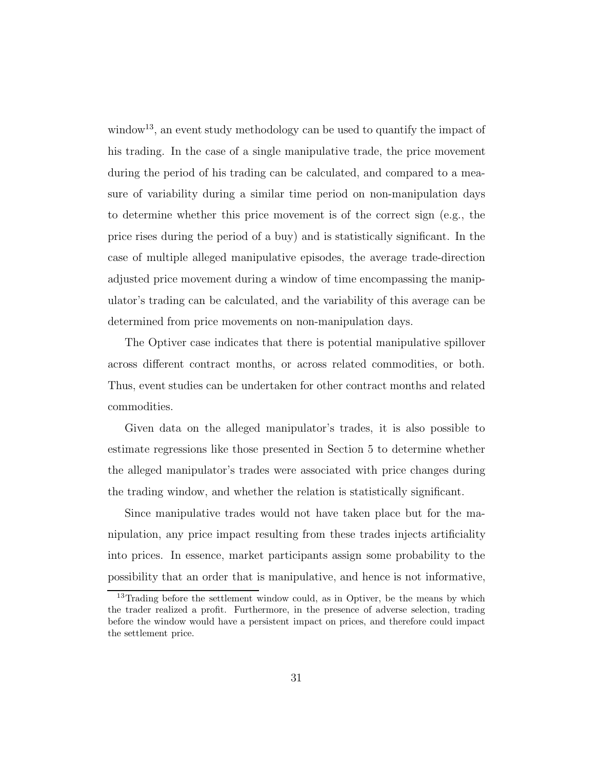window<sup>13</sup>, an event study methodology can be used to quantify the impact of his trading. In the case of a single manipulative trade, the price movement during the period of his trading can be calculated, and compared to a measure of variability during a similar time period on non-manipulation days to determine whether this price movement is of the correct sign (e.g., the price rises during the period of a buy) and is statistically significant. In the case of multiple alleged manipulative episodes, the average trade-direction adjusted price movement during a window of time encompassing the manipulator's trading can be calculated, and the variability of this average can be determined from price movements on non-manipulation days.

The Optiver case indicates that there is potential manipulative spillover across different contract months, or across related commodities, or both. Thus, event studies can be undertaken for other contract months and related commodities.

Given data on the alleged manipulator's trades, it is also possible to estimate regressions like those presented in Section 5 to determine whether the alleged manipulator's trades were associated with price changes during the trading window, and whether the relation is statistically significant.

Since manipulative trades would not have taken place but for the manipulation, any price impact resulting from these trades injects artificiality into prices. In essence, market participants assign some probability to the possibility that an order that is manipulative, and hence is not informative,

<sup>&</sup>lt;sup>13</sup>Trading before the settlement window could, as in Optiver, be the means by which the trader realized a profit. Furthermore, in the presence of adverse selection, trading before the window would have a persistent impact on prices, and therefore could impact the settlement price.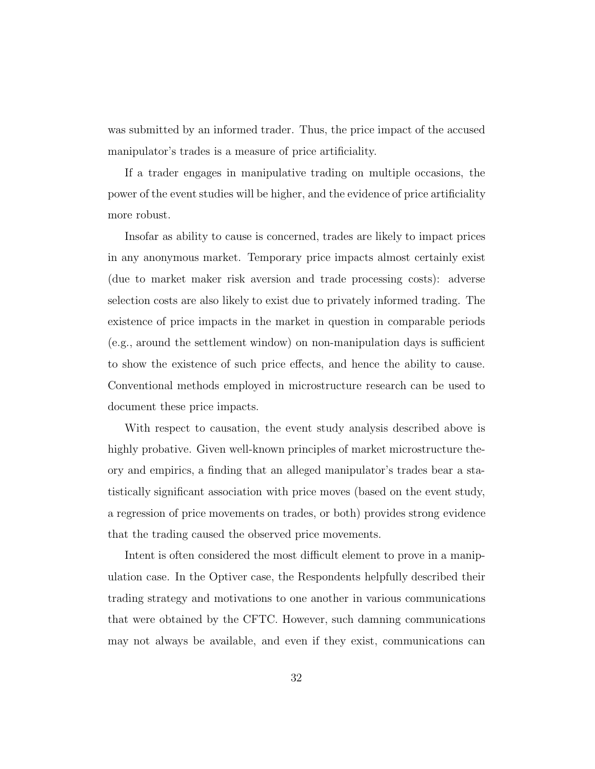was submitted by an informed trader. Thus, the price impact of the accused manipulator's trades is a measure of price artificiality.

If a trader engages in manipulative trading on multiple occasions, the power of the event studies will be higher, and the evidence of price artificiality more robust.

Insofar as ability to cause is concerned, trades are likely to impact prices in any anonymous market. Temporary price impacts almost certainly exist (due to market maker risk aversion and trade processing costs): adverse selection costs are also likely to exist due to privately informed trading. The existence of price impacts in the market in question in comparable periods (e.g., around the settlement window) on non-manipulation days is sufficient to show the existence of such price effects, and hence the ability to cause. Conventional methods employed in microstructure research can be used to document these price impacts.

With respect to causation, the event study analysis described above is highly probative. Given well-known principles of market microstructure theory and empirics, a finding that an alleged manipulator's trades bear a statistically significant association with price moves (based on the event study, a regression of price movements on trades, or both) provides strong evidence that the trading caused the observed price movements.

Intent is often considered the most difficult element to prove in a manipulation case. In the Optiver case, the Respondents helpfully described their trading strategy and motivations to one another in various communications that were obtained by the CFTC. However, such damning communications may not always be available, and even if they exist, communications can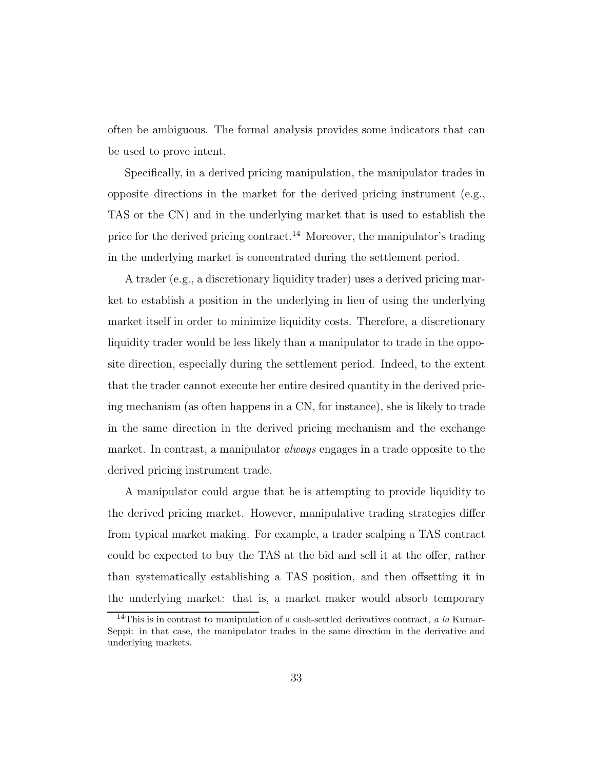often be ambiguous. The formal analysis provides some indicators that can be used to prove intent.

Specifically, in a derived pricing manipulation, the manipulator trades in opposite directions in the market for the derived pricing instrument  $(e.g.,)$ TAS or the CN) and in the underlying market that is used to establish the price for the derived pricing contract.<sup>14</sup> Moreover, the manipulator's trading in the underlying market is concentrated during the settlement period.

A trader (e.g., a discretionary liquidity trader) uses a derived pricing market to establish a position in the underlying in lieu of using the underlying market itself in order to minimize liquidity costs. Therefore, a discretionary liquidity trader would be less likely than a manipulator to trade in the opposite direction, especially during the settlement period. Indeed, to the extent that the trader cannot execute her entire desired quantity in the derived pricing mechanism (as often happens in a CN, for instance), she is likely to trade in the same direction in the derived pricing mechanism and the exchange market. In contrast, a manipulator *always* engages in a trade opposite to the derived pricing instrument trade.

A manipulator could argue that he is attempting to provide liquidity to the derived pricing market. However, manipulative trading strategies differ from typical market making. For example, a trader scalping a TAS contract could be expected to buy the TAS at the bid and sell it at the offer, rather than systematically establishing a TAS position, and then offsetting it in the underlying market: that is, a market maker would absorb temporary

<sup>&</sup>lt;sup>14</sup>This is in contrast to manipulation of a cash-settled derivatives contract,  $a \, la$  Kumar-Seppi: in that case, the manipulator trades in the same direction in the derivative and underlying markets.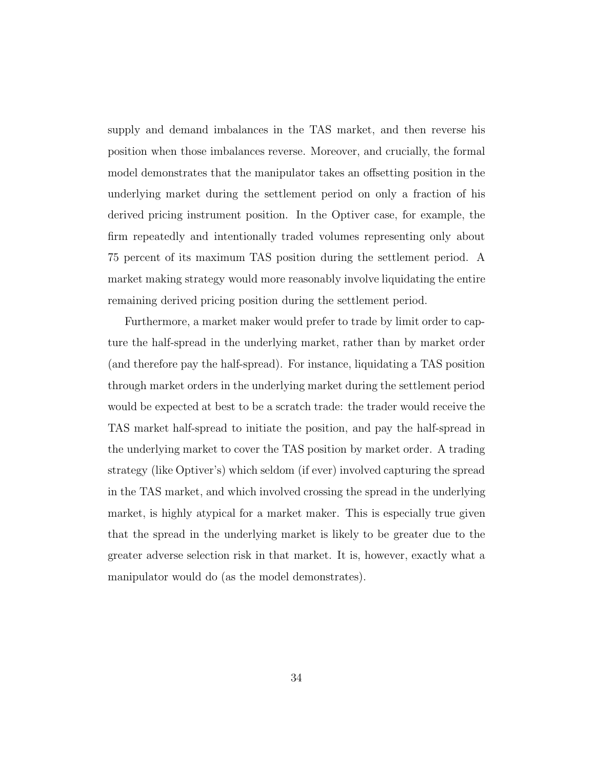supply and demand imbalances in the TAS market, and then reverse his position when those imbalances reverse. Moreover, and crucially, the formal model demonstrates that the manipulator takes an offsetting position in the underlying market during the settlement period on only a fraction of his derived pricing instrument position. In the Optiver case, for example, the firm repeatedly and intentionally traded volumes representing only about 75 percent of its maximum TAS position during the settlement period. A market making strategy would more reasonably involve liquidating the entire remaining derived pricing position during the settlement period.

Furthermore, a market maker would prefer to trade by limit order to capture the half-spread in the underlying market, rather than by market order (and therefore pay the half-spread). For instance, liquidating a TAS position through market orders in the underlying market during the settlement period would be expected at best to be a scratch trade: the trader would receive the TAS market half-spread to initiate the position, and pay the half-spread in the underlying market to cover the TAS position by market order. A trading strategy (like Optiver's) which seldom (if ever) involved capturing the spread in the TAS market, and which involved crossing the spread in the underlying market, is highly atypical for a market maker. This is especially true given that the spread in the underlying market is likely to be greater due to the greater adverse selection risk in that market. It is, however, exactly what a manipulator would do (as the model demonstrates).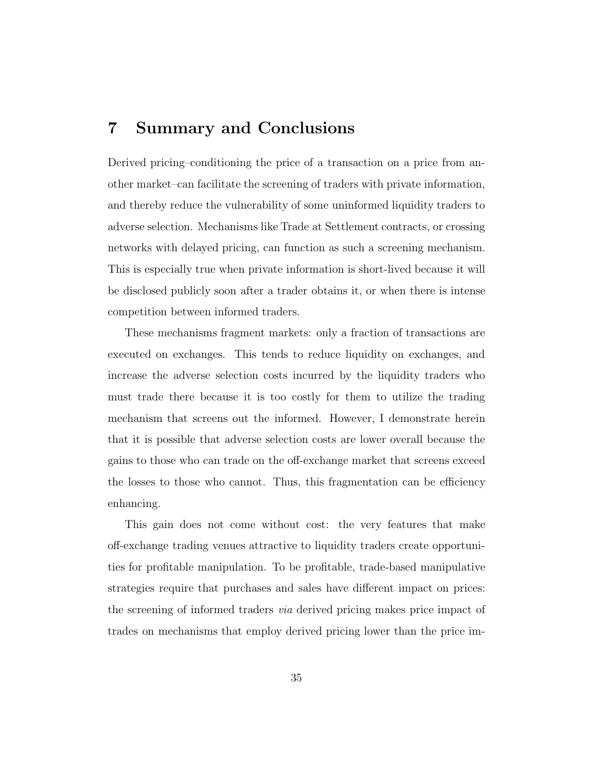## 7 Summary and Conclusions

Derived pricing–conditioning the price of a transaction on a price from another market–can facilitate the screening of traders with private information, and thereby reduce the vulnerability of some uninformed liquidity traders to adverse selection. Mechanisms like Trade at Settlement contracts, or crossing networks with delayed pricing, can function as such a screening mechanism. This is especially true when private information is short-lived because it will be disclosed publicly soon after a trader obtains it, or when there is intense competition between informed traders.

These mechanisms fragment markets: only a fraction of transactions are executed on exchanges. This tends to reduce liquidity on exchanges, and increase the adverse selection costs incurred by the liquidity traders who must trade there because it is too costly for them to utilize the trading mechanism that screens out the informed. However, I demonstrate herein that it is possible that adverse selection costs are lower overall because the gains to those who can trade on the off-exchange market that screens exceed the losses to those who cannot. Thus, this fragmentation can be efficiency enhancing.

This gain does not come without cost: the very features that make off-exchange trading venues attractive to liquidity traders create opportunities for profitable manipulation. To be profitable, trade-based manipulative strategies require that purchases and sales have different impact on prices: the screening of informed traders via derived pricing makes price impact of trades on mechanisms that employ derived pricing lower than the price im